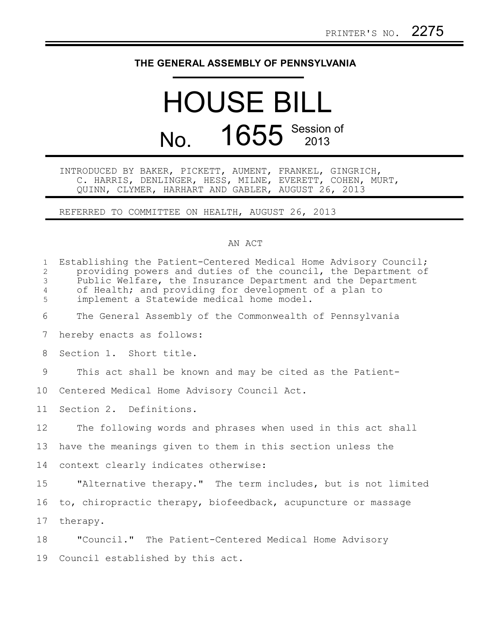## **THE GENERAL ASSEMBLY OF PENNSYLVANIA**

## HOUSE BILL No. 1655 Session of

INTRODUCED BY BAKER, PICKETT, AUMENT, FRANKEL, GINGRICH, C. HARRIS, DENLINGER, HESS, MILNE, EVERETT, COHEN, MURT, QUINN, CLYMER, HARHART AND GABLER, AUGUST 26, 2013

REFERRED TO COMMITTEE ON HEALTH, AUGUST 26, 2013

## AN ACT

| $\mathbf{1}$<br>$\mathbf{2}$<br>3<br>$\overline{4}$<br>5 | Establishing the Patient-Centered Medical Home Advisory Council;<br>providing powers and duties of the council, the Department of<br>Public Welfare, the Insurance Department and the Department<br>of Health; and providing for development of a plan to<br>implement a Statewide medical home model. |
|----------------------------------------------------------|--------------------------------------------------------------------------------------------------------------------------------------------------------------------------------------------------------------------------------------------------------------------------------------------------------|
| 6                                                        | The General Assembly of the Commonwealth of Pennsylvania                                                                                                                                                                                                                                               |
| 7                                                        | hereby enacts as follows:                                                                                                                                                                                                                                                                              |
| 8                                                        | Section 1. Short title.                                                                                                                                                                                                                                                                                |
| 9                                                        | This act shall be known and may be cited as the Patient-                                                                                                                                                                                                                                               |
| 10                                                       | Centered Medical Home Advisory Council Act.                                                                                                                                                                                                                                                            |
| 11                                                       | Section 2. Definitions.                                                                                                                                                                                                                                                                                |
| 12                                                       | The following words and phrases when used in this act shall                                                                                                                                                                                                                                            |
| 13                                                       | have the meanings given to them in this section unless the                                                                                                                                                                                                                                             |
| 14                                                       | context clearly indicates otherwise:                                                                                                                                                                                                                                                                   |
| 15                                                       | "Alternative therapy." The term includes, but is not limited                                                                                                                                                                                                                                           |
| 16                                                       | to, chiropractic therapy, biofeedback, acupuncture or massage                                                                                                                                                                                                                                          |
| 17                                                       | therapy.                                                                                                                                                                                                                                                                                               |
| 18                                                       | "Council." The Patient-Centered Medical Home Advisory                                                                                                                                                                                                                                                  |
| 19                                                       | Council established by this act.                                                                                                                                                                                                                                                                       |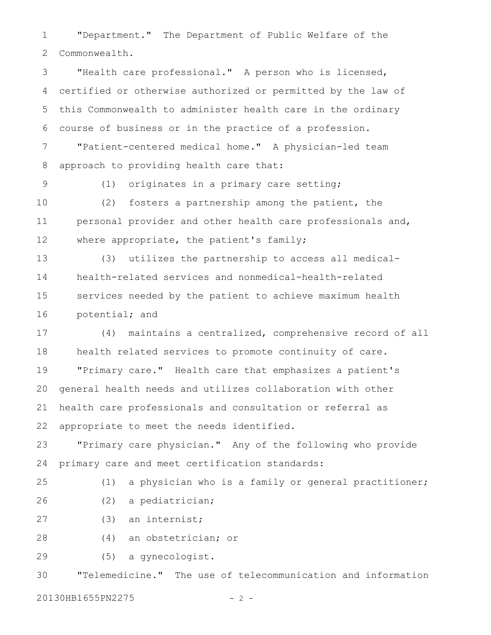"Department." The Department of Public Welfare of the Commonwealth. 1 2

"Health care professional." A person who is licensed, certified or otherwise authorized or permitted by the law of this Commonwealth to administer health care in the ordinary course of business or in the practice of a profession. "Patient-centered medical home." A physician-led team approach to providing health care that: 3 4 5 6 7 8

9

(1) originates in a primary care setting;

(2) fosters a partnership among the patient, the personal provider and other health care professionals and, where appropriate, the patient's family; 10 11 12

(3) utilizes the partnership to access all medicalhealth-related services and nonmedical-health-related services needed by the patient to achieve maximum health potential; and 13 14 15 16

(4) maintains a centralized, comprehensive record of all health related services to promote continuity of care. "Primary care." Health care that emphasizes a patient's general health needs and utilizes collaboration with other health care professionals and consultation or referral as appropriate to meet the needs identified. 17 18 19 20 21 22

"Primary care physician." Any of the following who provide primary care and meet certification standards: 23 24

(1) a physician who is a family or general practitioner;

25

26

(2) a pediatrician;

(3) an internist; 27

(4) an obstetrician; or 28

(5) a gynecologist. 29

"Telemedicine." The use of telecommunication and information 30

20130HB1655PN2275 - 2 -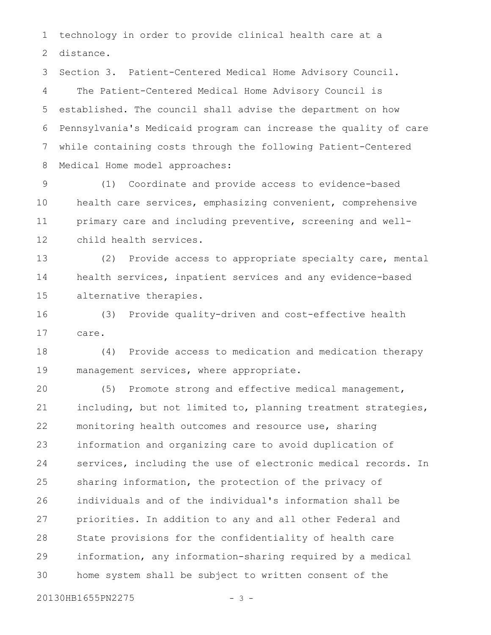technology in order to provide clinical health care at a 1

distance. 2

Section 3. Patient-Centered Medical Home Advisory Council. The Patient-Centered Medical Home Advisory Council is established. The council shall advise the department on how Pennsylvania's Medicaid program can increase the quality of care while containing costs through the following Patient-Centered Medical Home model approaches: 3 4 5 6 7 8

(1) Coordinate and provide access to evidence-based health care services, emphasizing convenient, comprehensive primary care and including preventive, screening and wellchild health services. 9 10 11 12

(2) Provide access to appropriate specialty care, mental health services, inpatient services and any evidence-based alternative therapies. 13 14 15

(3) Provide quality-driven and cost-effective health care. 16 17

(4) Provide access to medication and medication therapy management services, where appropriate. 18 19

(5) Promote strong and effective medical management, including, but not limited to, planning treatment strategies, monitoring health outcomes and resource use, sharing information and organizing care to avoid duplication of services, including the use of electronic medical records. In sharing information, the protection of the privacy of individuals and of the individual's information shall be priorities. In addition to any and all other Federal and State provisions for the confidentiality of health care information, any information-sharing required by a medical home system shall be subject to written consent of the 20 21 22 23 24 25 26 27 28 29 30

20130HB1655PN2275 - 3 -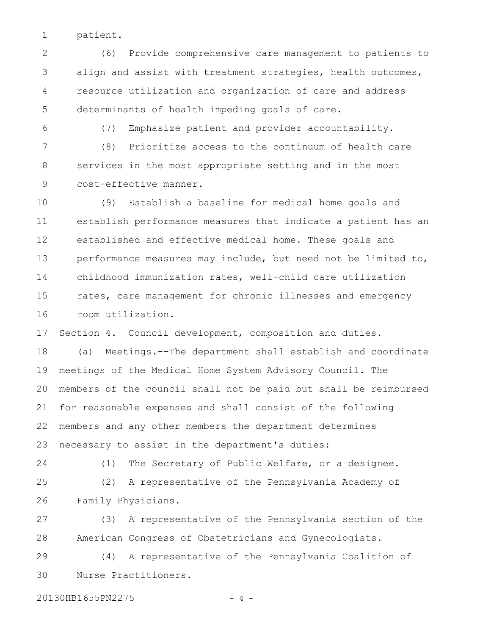patient. 1

(6) Provide comprehensive care management to patients to align and assist with treatment strategies, health outcomes, resource utilization and organization of care and address determinants of health impeding goals of care. 2 3 4 5

6

(7) Emphasize patient and provider accountability.

(8) Prioritize access to the continuum of health care services in the most appropriate setting and in the most cost-effective manner. 7 8 9

(9) Establish a baseline for medical home goals and establish performance measures that indicate a patient has an established and effective medical home. These goals and performance measures may include, but need not be limited to, childhood immunization rates, well-child care utilization rates, care management for chronic illnesses and emergency room utilization. 10 11 12 13 14 15 16

Section 4. Council development, composition and duties. 17

(a) Meetings.--The department shall establish and coordinate meetings of the Medical Home System Advisory Council. The members of the council shall not be paid but shall be reimbursed for reasonable expenses and shall consist of the following members and any other members the department determines necessary to assist in the department's duties: 18 19 20 21 22 23

24

(1) The Secretary of Public Welfare, or a designee.

(2) A representative of the Pennsylvania Academy of Family Physicians. 25 26

(3) A representative of the Pennsylvania section of the American Congress of Obstetricians and Gynecologists. 27 28

(4) A representative of the Pennsylvania Coalition of Nurse Practitioners. 29 30

20130HB1655PN2275 - 4 -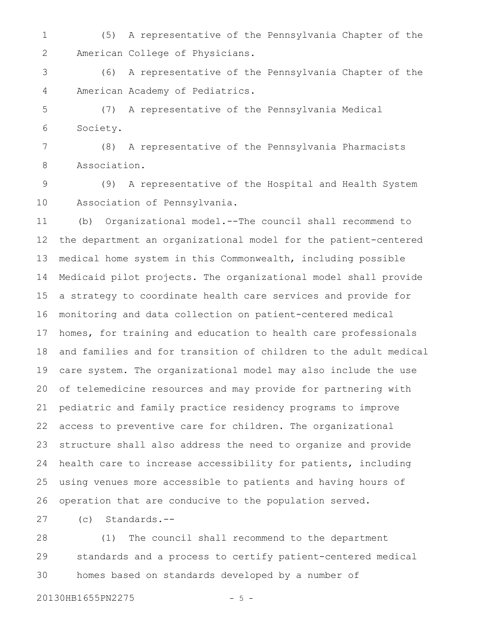(5) A representative of the Pennsylvania Chapter of the American College of Physicians. 1 2

(6) A representative of the Pennsylvania Chapter of the American Academy of Pediatrics. 3 4

(7) A representative of the Pennsylvania Medical Society. 5 6

(8) A representative of the Pennsylvania Pharmacists Association. 7 8

(9) A representative of the Hospital and Health System Association of Pennsylvania. 9 10

(b) Organizational model.--The council shall recommend to the department an organizational model for the patient-centered medical home system in this Commonwealth, including possible Medicaid pilot projects. The organizational model shall provide a strategy to coordinate health care services and provide for monitoring and data collection on patient-centered medical homes, for training and education to health care professionals and families and for transition of children to the adult medical care system. The organizational model may also include the use of telemedicine resources and may provide for partnering with pediatric and family practice residency programs to improve access to preventive care for children. The organizational structure shall also address the need to organize and provide health care to increase accessibility for patients, including using venues more accessible to patients and having hours of operation that are conducive to the population served. 11 12 13 14 15 16 17 18 19 20 21 22 23 24 25 26

(c) Standards.-- 27

(1) The council shall recommend to the department standards and a process to certify patient-centered medical homes based on standards developed by a number of 28 29 30

20130HB1655PN2275 - 5 -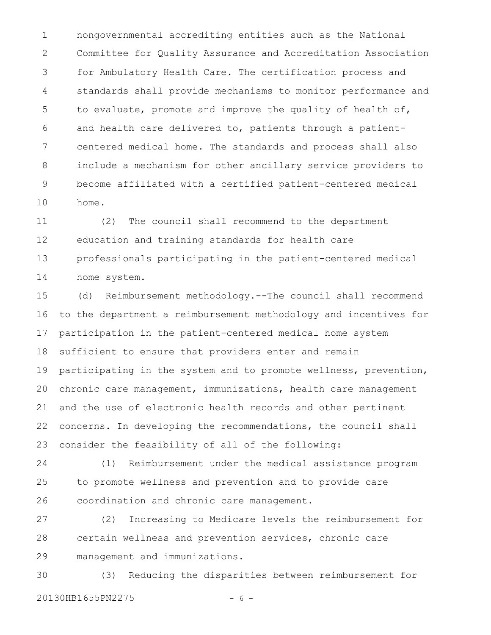nongovernmental accrediting entities such as the National Committee for Quality Assurance and Accreditation Association for Ambulatory Health Care. The certification process and standards shall provide mechanisms to monitor performance and to evaluate, promote and improve the quality of health of, and health care delivered to, patients through a patientcentered medical home. The standards and process shall also include a mechanism for other ancillary service providers to become affiliated with a certified patient-centered medical home. 1 2 3 4 5 6 7 8 9 10

(2) The council shall recommend to the department education and training standards for health care professionals participating in the patient-centered medical home system. 11 12 13 14

(d) Reimbursement methodology.--The council shall recommend to the department a reimbursement methodology and incentives for participation in the patient-centered medical home system sufficient to ensure that providers enter and remain participating in the system and to promote wellness, prevention, chronic care management, immunizations, health care management and the use of electronic health records and other pertinent concerns. In developing the recommendations, the council shall consider the feasibility of all of the following: 15 16 17 18 19 20 21 22 23

(1) Reimbursement under the medical assistance program to promote wellness and prevention and to provide care coordination and chronic care management. 24 25 26

(2) Increasing to Medicare levels the reimbursement for certain wellness and prevention services, chronic care management and immunizations. 27 28 29

(3) Reducing the disparities between reimbursement for 20130HB1655PN2275 - 6 -30